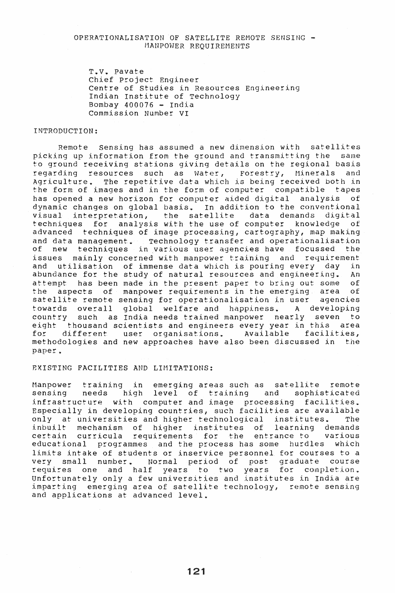# OPERATIONALISATION OF SATELLITE REMOTE SENSING - MANPOWER REQUIREMENTS

T.V. pavate Chief project Engineer Centre of studies in Resources Engineering Indian Institute of Technology Bombay  $400076$  - India Commission Number VI

#### INTRODUCTION:

Remote sensing has assumed a new dimension with satellites picking up information from the ground and transmitting the same to ground receiving stations giving details on the regional basis regarding resources such as water, Forestry, Minerals and Agriculture. The repetitive data which is being received both in the form of images and in the form of computer compatible tapes has opened a new horizon for computer aided digital analysis of dynamic changes on global basis. In addition to the conventional<br>visual interpretation, the satellite data demands digital visual interpretation, the satellite data demands digital techniques for analysis with the use of computer knowledge advanced techniques of image processing, cartography, map making and data management. Technology transfer and operationalisation of new techniques in various user agencies have focussed the issues mainly concerned with manpower training and requirement and utilisation of immense data which is pouring every day in<br>abundance for the study of natural resources and engineering. An abundance for the study of natural resources and engineering. An attempt has been made in the present paper to bring out some of attempt has been made in the present paper to bring out some of<br>the aspects of manpower requirements in the emerging area of the aspects of manpower requirements in the emerging area satellite remote sensing for operationalisation in user agencies towards overall global welfare and happiness. A developing country such as India needs trained manpower nearly seven to eight thousand scientists and engineers every year in this area for different user organisations. Available facilities, methodologies and new approaches have also been discussed in the paper.

# EXISTING FACILITIES AND LIMITATIONS:

Manpower training in emerging areas such as satellite remote high level of training and sophisticated infrastructure with computer and image processing facilities. Especially in developing countries, such facilities are available only at universities and higher technological institutes. The<br>inbuilt mechanism of higher institutes of learning demands inbuilt mechanism of higher institutes of learning demands certain curricula requirements for the entrance to educational programmes and the process has some hurdles which limits intake of students or inservice personnel for courses to a very small number. Normal period of post graduate course requires one and half years to two years for completion. Unfortunately only a few universities and institutes in India are imparting emerging area of satellite technology, remote sensing and applications at advanced level.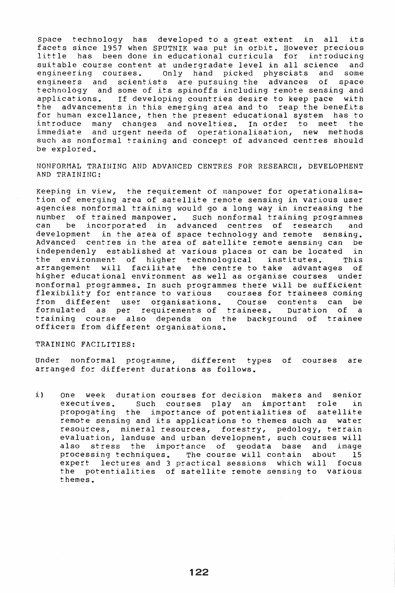Space technology has developed to a great extent in all its facets since 1957 when SPUTNIK was put in orbit. However precious little has been done in educational curricula for introducing suitable course content at undergradate level in all science and<br>engineering courses. Only hand picked physcists and some picked physcists and some engineers and scientists are pursuing the advances of space technology and some of its spinoffs including remote sensing and applications. If developing countries desire to keep pace with<br>the advancements in this emerging area and to reap the benefits advancements in this emerging area and to reap the benefits for human excellance, then the present educational system has to introduce many changes and novelties. In order to meet the immediate and urgent needs of operationalisation, new methods such as nonformal training and concept of advanced centres should be explored.

NONFORMAL TRAINING AND ADVANCED CENTRES FOR RESEARCH, DEVELOPMENT AND TRAINING:

Keeping in view, the requirement of manpower for operationalisation of emerging area of satellite remote sensing in various user agencies nonformal training would go a long way in increasing the number of trained manpower. Such nonformal training programmes can be incorporated in advanced centres of research and development in the area of space technology and remote sensing. Advanced centres in the area of satellite remote sensing can be independenly established at various places or can be located in the environment of higher technological institutes. This arrangement will facilitate the centre to take advantages of higher educational environment as well as organise courses under nonformal programmes. In such programmes there will be sufficient flexibility for entrance to various courses for trainees coming from different user organisations. Course contents can be formulated as per requirements of trainees. Duration of a training course also depends on the background of trainee officers from different organisations.

#### TRAINING FACILITIES:

Under nonformal programme, different types of courses are arranged for different durations as follows.

i) One week duration courses for decision makers and senior executives. Such courses play an important role in propagating the importance of potentialities of satellite remote sensing and its applications to themes such as water resources, mineral resources, forestry, pedology, terrain evaluation, landuse and urban development, such courses will also stress the importance of geodata base and image processing techniques. The course will contain about 15 expert lectures and 3 practical sessions which will focus the potentialities of satellite remote sensing to various themes.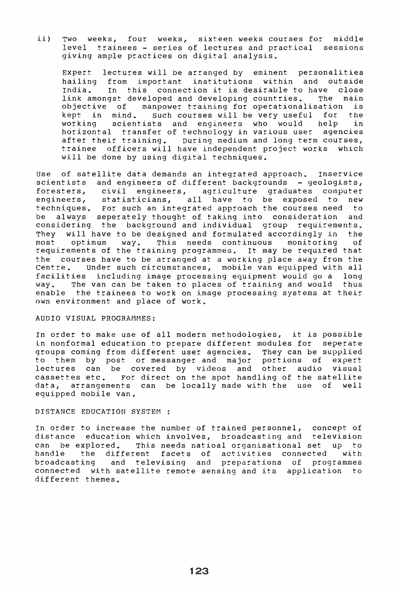ii) TWO weeks, four weeks, sixteen weeks courses for middle level trainees - series of lectures and practical sessions giving ample practices on digital analysis.

Expert lectures will be arranged by eminent personalities hailing from important institutions within and outside<br>India. In this connection it is desirable to have close In this connection it is desirable to have close link amongst developed and developing countries. The main objective of manpower training for operationalisation is<br>kept in mind. Such courses will be very useful for the Such courses will be very useful for the<br>ts and engineers who would help in working scientists and engineers who would help in horizontal transfer of technology in various user agencies after their training. During medium and long term courses, trainee officers will have independent project works which will be done by using digital techniques.

Use of satellite data demands an integrated approach. Inservice scientists and engineers of different backgrounds - geologists,<br>foresters, civil engineers, agriculture graduates computer foresters, civil engineers, agriculture graduates computer statisticians, all have to be exposed to new techniques. For such an integrated approach the courses need to be always seperately thought of taking into consideration and considering the background and individual group requirements. They will have to be designed and formulated accordingly in the most copitum way. This needs continuous monitoring of optimum way. This needs continuous monitoring requirements of the training programmes. It may be required that the courses have to be arranged at a working place away from the Centre. under such circumstances, mobile van equipped with all facilities including image processing equipment would go a long way. The van can be taken to places of training and would thus enable the trainees to work on image processing systems at their own environment and place of work.

#### AUDIO VISUAL PROGRAMMES:

In order to make use of all modern methodologies, it is possible in nonformal education to prepare different modules for seperate groups coming from different user agencies. They can be supplied to them by post or messanger and major portions of expert lectures can be covered by videos and other audio visual cassettes etc. For direct on the spot handling of the satellite data, arrangements can be locally made with the use of well equipped mobile van.

### DISTANCE EDUCATION SYSTEM :

In order to increase the number of trained personnel, concept of distance education which involves, broadcasting and television can be explored. This needs natioal organisational set up to handle the different facets of activities connected with<br>broadcasting and televising and preparations of programmes and televising and preparations of programmes connected with satellite remote sensing and its application to different themes.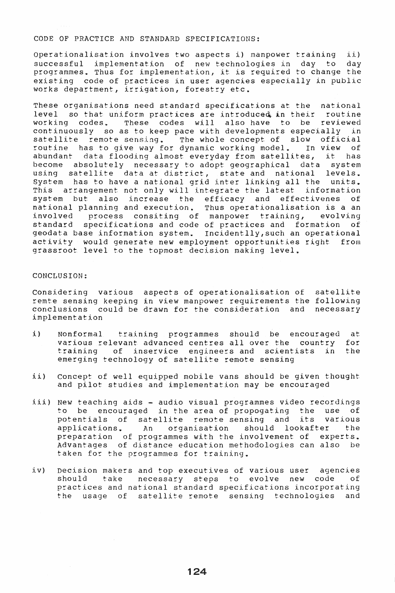#### CODE OF PRACTICE AND STANDARD SPECIFICATIONS:

Operationalisation involves two aspects i) manpower training ii)<br>successful implementation of new technologies in day to day successful implementation of new technologies in day to programmes. Thus for implementation, it is required to change the existing code of practices in user agencies especially in public works department, irrigation, forestry etc.

These organisations need standard specifications at the national level so that uniform practices are introduced in their routine working codes. These codes will also have to be reviewed continuously so as to keep pace with developments especially in schermodusry so as to keep pace wren deveropments especially in satellite remote sensing. The whole concept of slow official<br>routine has to give way for dynamic working model. In view of abundant data flooding almost everyday from satellites, it has become absolutely necessary to adopt geographical data system using satellite data at district, state and national levels. System has to have a national grid inter linking all the units.<br>This arrangement not only will integrate the latest information This arrangement not only will integrate the latest system but also increase the efficacy and effectivenes of national planning and execution. Thus operationalisation is a an<br>involved process consiting of manpower training, evolving process consiting of manpower training, standard specifications and code of practices and formation of geodata base information system. Incidentlly,such an operational activity would generate new employment opportunities right from grassroot level to the topmost decision making level.

# CONCLUSION:

Considering various aspects of operationalisation of satellite remte sensing keeping in view manpower requirements the following conclusions could be drawn for the consideration and necessary implementation

- i) Nonformal training programmes should be encouraged various relevant advanced centres allover the country training of inservice engineers and scientists in emerging technology of satellite remote sensing at for the
- ii) Concept of well equipped mobile vans should be given thought and pilot studies and implementation may be encouraged
- iii) New teaching aids audio visual programmes video recordings to be encouraged in the area of propogating the use of potentials of satellite remote sensing and its various should lookafter preparation of programmes with the involvement of experts\_ Advantages of distance education methodologies can also be taken for the programmes for training.
- iv) Decision makers and top executives of various user agencies take necessary steps to evolve new code practices and national standard specifications incorporating the usage of satellite remote sensing technologies and